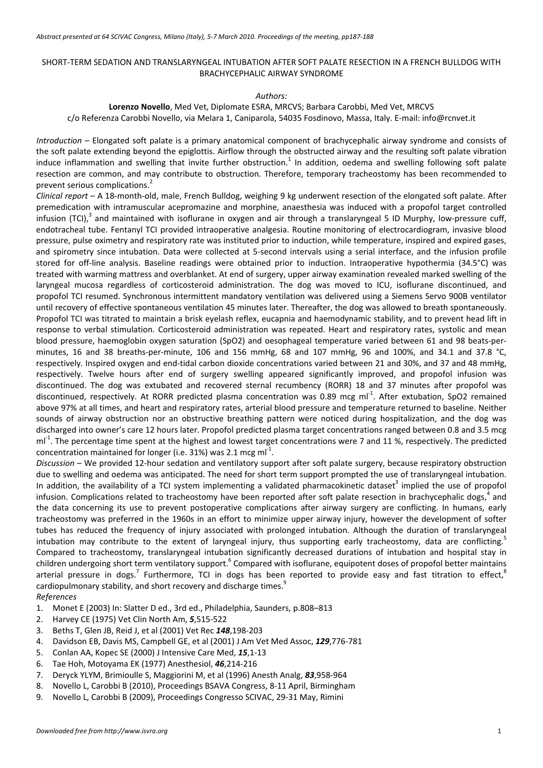# SHORT‐TERM SEDATION AND TRANSLARYNGEAL INTUBATION AFTER SOFT PALATE RESECTION IN A FRENCH BULLDOG WITH BRACHYCEPHALIC AIRWAY SYNDROME

### *Authors:*

**Lorenzo Novello**, Med Vet, Diplomate ESRA, MRCVS; Barbara Carobbi, Med Vet, MRCVS c/o Referenza Carobbi Novello, via Melara 1, Caniparola, 54035 Fosdinovo, Massa, Italy. E‐mail: info@rcnvet.it

*Introduction* – Elongated soft palate is a primary anatomical component of brachycephalic airway syndrome and consists of the soft palate extending beyond the epiglottis. Airflow through the obstructed airway and the resulting soft palate vibration induce inflammation and swelling that invite further obstruction.<sup>1</sup> In addition, oedema and swelling following soft palate resection are common, and may contribute to obstruction. Therefore, temporary tracheostomy has been recommended to prevent serious complications.<sup>2</sup>

*Clinical report* – A 18‐month‐old, male, French Bulldog, weighing 9 kg underwent resection of the elongated soft palate. After premedication with intramuscular acepromazine and morphine, anaesthesia was induced with a propofol target controlled infusion (TCI), $3$  and maintained with isoflurane in oxygen and air through a translaryngeal 5 ID Murphy, low-pressure cuff, endotracheal tube. Fentanyl TCI provided intraoperative analgesia. Routine monitoring of electrocardiogram, invasive blood pressure, pulse oximetry and respiratory rate was instituted prior to induction, while temperature, inspired and expired gases, and spirometry since intubation. Data were collected at 5‐second intervals using a serial interface, and the infusion profile stored for off‐line analysis. Baseline readings were obtained prior to induction. Intraoperative hypothermia (34.5°C) was treated with warming mattress and overblanket. At end of surgery, upper airway examination revealed marked swelling of the laryngeal mucosa regardless of corticosteroid administration. The dog was moved to ICU, isoflurane discontinued, and propofol TCI resumed. Synchronous intermittent mandatory ventilation was delivered using a Siemens Servo 900B ventilator until recovery of effective spontaneous ventilation 45 minutes later. Thereafter, the dog was allowed to breath spontaneously. Propofol TCI was titrated to maintain a brisk eyelash reflex, eucapnia and haemodynamic stability, and to prevent head lift in response to verbal stimulation. Corticosteroid administration was repeated. Heart and respiratory rates, systolic and mean blood pressure, haemoglobin oxygen saturation (SpO2) and oesophageal temperature varied between 61 and 98 beats‐per‐ minutes, 16 and 38 breaths‐per‐minute, 106 and 156 mmHg, 68 and 107 mmHg, 96 and 100%, and 34.1 and 37.8 °C, respectively. Inspired oxygen and end‐tidal carbon dioxide concentrations varied between 21 and 30%, and 37 and 48 mmHg, respectively. Twelve hours after end of surgery swelling appeared significantly improved, and propofol infusion was discontinued. The dog was extubated and recovered sternal recumbency (RORR) 18 and 37 minutes after propofol was discontinued, respectively. At RORR predicted plasma concentration was 0.89 mcg ml<sup>-1</sup>. After extubation, SpO2 remained above 97% at all times, and heart and respiratory rates, arterial blood pressure and temperature returned to baseline. Neither sounds of airway obstruction nor an obstructive breathing pattern were noticed during hospitalization, and the dog was discharged into owner's care 12 hours later. Propofol predicted plasma target concentrations ranged between 0.8 and 3.5 mcg  $ml<sup>-1</sup>$ . The percentage time spent at the highest and lowest target concentrations were 7 and 11 %, respectively. The predicted concentration maintained for longer (i.e. 31%) was 2.1 mcg ml<sup>-1</sup>.

*Discussion* – We provided 12‐hour sedation and ventilatory support after soft palate surgery, because respiratory obstruction due to swelling and oedema was anticipated. The need for short term support prompted the use of translaryngeal intubation. In addition, the availability of a TCI system implementing a validated pharmacokinetic dataset<sup>3</sup> implied the use of propofol infusion. Complications related to tracheostomy have been reported after soft palate resection in brachycephalic dogs, $4$  and the data concerning its use to prevent postoperative complications after airway surgery are conflicting. In humans, early tracheostomy was preferred in the 1960s in an effort to minimize upper airway injury, however the development of softer tubes has reduced the frequency of injury associated with prolonged intubation. Although the duration of translaryngeal intubation may contribute to the extent of laryngeal injury, thus supporting early tracheostomy, data are conflicting. Compared to tracheostomy, translaryngeal intubation significantly decreased durations of intubation and hospital stay in children undergoing short term ventilatory support.<sup>6</sup> Compared with isoflurane, equipotent doses of propofol better maintains arterial pressure in dogs.<sup>7</sup> Furthermore, TCI in dogs has been reported to provide easy and fast titration to effect,<sup>8</sup> cardiopulmonary stability, and short recovery and discharge times.<sup>9</sup>

*References*

- 1. Monet E (2003) In: Slatter D ed., 3rd ed., Philadelphia, Saunders, p.808–813
- 2. Harvey CE (1975) Vet Clin North Am, *5*,515‐522
- 3. Beths T, Glen JB, Reid J, et al (2001) Vet Rec *148*,198‐203
- 4. Davidson EB, Davis MS, Campbell GE, et al (2001) J Am Vet Med Assoc, *129*,776‐781
- 5. Conlan AA, Kopec SE (2000) J Intensive Care Med, *15*,1‐13
- 6. Tae Hoh, Motoyama EK (1977) Anesthesiol, *46*,214‐216
- 7. Deryck YLYM, Brimioulle S, Maggiorini M, et al (1996) Anesth Analg, *83*,958‐964
- 8. Novello L, Carobbi B (2010), Proceedings BSAVA Congress, 8‐11 April, Birmingham
- 9. Novello L, Carobbi B (2009), Proceedings Congresso SCIVAC, 29-31 May, Rimini